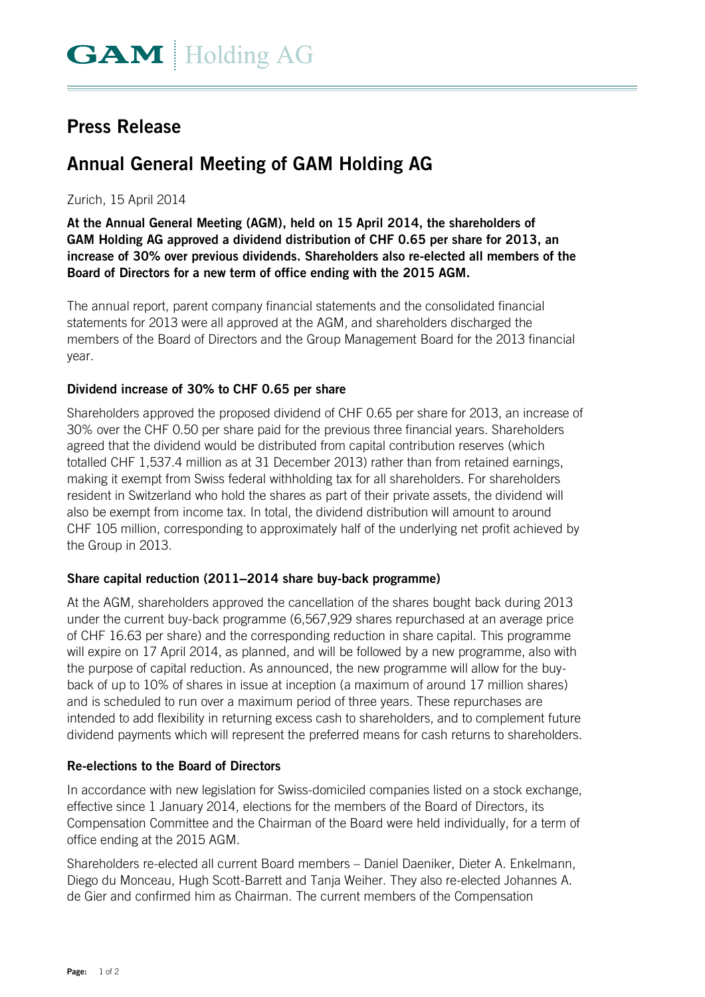# **Press Release**

# **Annual General Meeting of GAM Holding AG**

## Zurich, 15 April 2014

**At the Annual General Meeting (AGM), held on 15 April 2014, the shareholders of GAM Holding AG approved a dividend distribution of CHF 0.65 per share for 2013, an increase of 30% over previous dividends. Shareholders also re-elected all members of the Board of Directors for a new term of office ending with the 2015 AGM.** 

The annual report, parent company financial statements and the consolidated financial statements for 2013 were all approved at the AGM, and shareholders discharged the members of the Board of Directors and the Group Management Board for the 2013 financial year.

## **Dividend increase of 30% to CHF 0.65 per share**

Shareholders approved the proposed dividend of CHF 0.65 per share for 2013, an increase of 30% over the CHF 0.50 per share paid for the previous three financial years. Shareholders agreed that the dividend would be distributed from capital contribution reserves (which totalled CHF 1,537.4 million as at 31 December 2013) rather than from retained earnings, making it exempt from Swiss federal withholding tax for all shareholders. For shareholders resident in Switzerland who hold the shares as part of their private assets, the dividend will also be exempt from income tax. In total, the dividend distribution will amount to around CHF 105 million, corresponding to approximately half of the underlying net profit achieved by the Group in 2013.

## **Share capital reduction (2011–2014 share buy-back programme)**

At the AGM, shareholders approved the cancellation of the shares bought back during 2013 under the current buy-back programme (6,567,929 shares repurchased at an average price of CHF 16.63 per share) and the corresponding reduction in share capital. This programme will expire on 17 April 2014, as planned, and will be followed by a new programme, also with the purpose of capital reduction. As announced, the new programme will allow for the buyback of up to 10% of shares in issue at inception (a maximum of around 17 million shares) and is scheduled to run over a maximum period of three years. These repurchases are intended to add flexibility in returning excess cash to shareholders, and to complement future dividend payments which will represent the preferred means for cash returns to shareholders.

## **Re-elections to the Board of Directors**

In accordance with new legislation for Swiss-domiciled companies listed on a stock exchange, effective since 1 January 2014, elections for the members of the Board of Directors, its Compensation Committee and the Chairman of the Board were held individually, for a term of office ending at the 2015 AGM.

Shareholders re-elected all current Board members – Daniel Daeniker, Dieter A. Enkelmann, Diego du Monceau, Hugh Scott-Barrett and Tanja Weiher. They also re-elected Johannes A. de Gier and confirmed him as Chairman. The current members of the Compensation